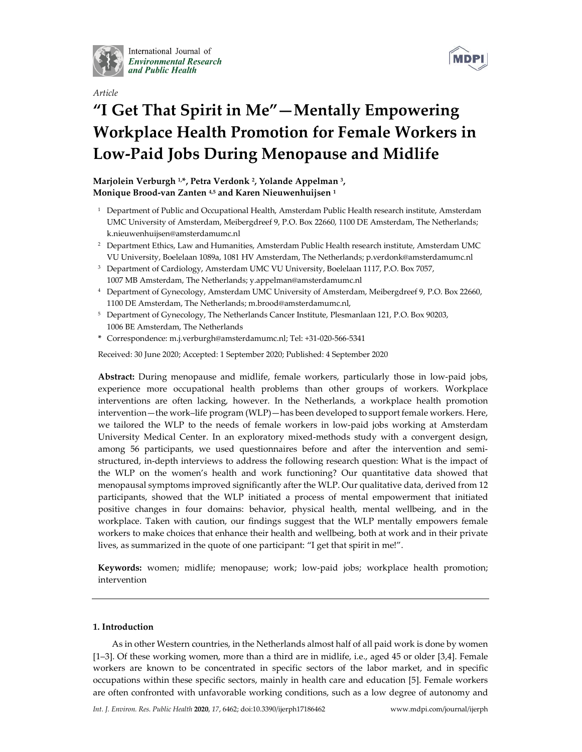

*Article*

International Journal of **Environmental Research** and Public Health



# **"I Get That Spirit in Me"—Mentally Empowering Workplace Health Promotion for Female Workers in Low-Paid Jobs During Menopause and Midlife**

# **Marjolein Verburgh 1, \*, Petra Verdonk 2, Yolande Appelman 3, Monique Brood-van Zanten 4,5 and Karen Nieuwenhuijsen 1**

- <sup>1</sup> Department of Public and Occupational Health, Amsterdam Public Health research institute, Amsterdam UMC University of Amsterdam, Meibergdreef 9, P.O. Box 22660, 1100 DE Amsterdam, The Netherlands; k.nieuwenhuijsen@amsterdamumc.nl
- <sup>2</sup> Department Ethics, Law and Humanities, Amsterdam Public Health research institute, Amsterdam UMC VU University, Boelelaan 1089a, 1081 HV Amsterdam, The Netherlands; p.verdonk@amsterdamumc.nl
- <sup>3</sup> Department of Cardiology, Amsterdam UMC VU University, Boelelaan 1117, P.O. Box 7057, 1007 MB Amsterdam, The Netherlands; y.appelman@amsterdamumc.nl
- <sup>4</sup> Department of Gynecology, Amsterdam UMC University of Amsterdam, Meibergdreef 9, P.O. Box 22660, 1100 DE Amsterdam, The Netherlands; m.brood@amsterdamumc.nl,
- <sup>5</sup> Department of Gynecology, The Netherlands Cancer Institute, Plesmanlaan 121, P.O. Box 90203, 1006 BE Amsterdam, The Netherlands
- **\*** Correspondence: m.j.verburgh@amsterdamumc.nl; Tel: +31-020-566-5341

Received: 30 June 2020; Accepted: 1 September 2020; Published: 4 September 2020

**Abstract:** During menopause and midlife, female workers, particularly those in low-paid jobs, experience more occupational health problems than other groups of workers. Workplace interventions are often lacking, however. In the Netherlands, a workplace health promotion intervention—the work–life program (WLP)—has been developed to support female workers. Here, we tailored the WLP to the needs of female workers in low-paid jobs working at Amsterdam University Medical Center. In an exploratory mixed-methods study with a convergent design, among 56 participants, we used questionnaires before and after the intervention and semistructured, in-depth interviews to address the following research question: What is the impact of the WLP on the women's health and work functioning? Our quantitative data showed that menopausal symptoms improved significantly after the WLP. Our qualitative data, derived from 12 participants, showed that the WLP initiated a process of mental empowerment that initiated positive changes in four domains: behavior, physical health, mental wellbeing, and in the workplace. Taken with caution, our findings suggest that the WLP mentally empowers female workers to make choices that enhance their health and wellbeing, both at work and in their private lives, as summarized in the quote of one participant: "I get that spirit in me!".

**Keywords:** women; midlife; menopause; work; low-paid jobs; workplace health promotion; intervention

## **1. Introduction**

As in other Western countries, in the Netherlands almost half of all paid work is done by women [1–3]. Of these working women, more than a third are in midlife, i.e., aged 45 or older [3,4]. Female workers are known to be concentrated in specific sectors of the labor market, and in specific occupations within these specific sectors, mainly in health care and education [5]. Female workers are often confronted with unfavorable working conditions, such as a low degree of autonomy and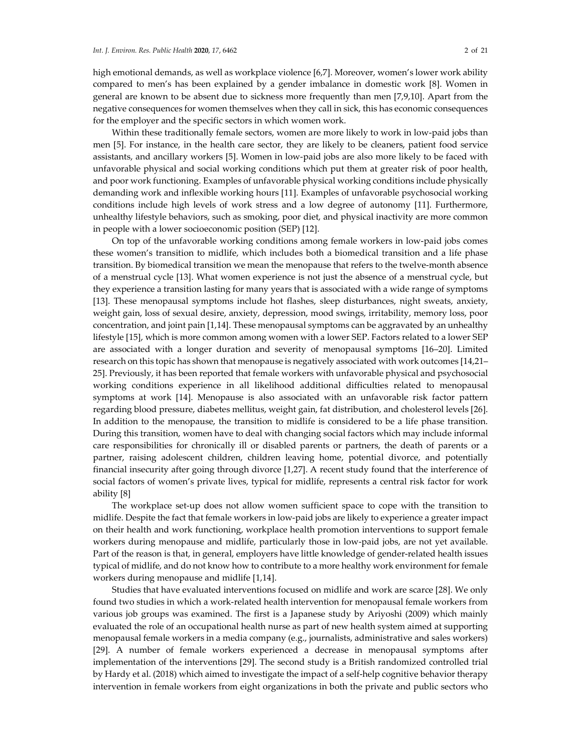high emotional demands, as well as workplace violence [6,7]. Moreover, women's lower work ability compared to men's has been explained by a gender imbalance in domestic work [8]. Women in general are known to be absent due to sickness more frequently than men [7,9,10]. Apart from the negative consequences for women themselves when they call in sick, this has economic consequences for the employer and the specific sectors in which women work.

Within these traditionally female sectors, women are more likely to work in low-paid jobs than men [5]. For instance, in the health care sector, they are likely to be cleaners, patient food service assistants, and ancillary workers [5]. Women in low-paid jobs are also more likely to be faced with unfavorable physical and social working conditions which put them at greater risk of poor health, and poor work functioning. Examples of unfavorable physical working conditions include physically demanding work and inflexible working hours [11]. Examples of unfavorable psychosocial working conditions include high levels of work stress and a low degree of autonomy [11]. Furthermore, unhealthy lifestyle behaviors, such as smoking, poor diet, and physical inactivity are more common in people with a lower socioeconomic position (SEP) [12].

On top of the unfavorable working conditions among female workers in low-paid jobs comes these women's transition to midlife, which includes both a biomedical transition and a life phase transition. By biomedical transition we mean the menopause that refers to the twelve-month absence of a menstrual cycle [13]. What women experience is not just the absence of a menstrual cycle, but they experience a transition lasting for many years that is associated with a wide range of symptoms [13]. These menopausal symptoms include hot flashes, sleep disturbances, night sweats, anxiety, weight gain, loss of sexual desire, anxiety, depression, mood swings, irritability, memory loss, poor concentration, and joint pain [1,14]. These menopausal symptoms can be aggravated by an unhealthy lifestyle [15], which is more common among women with a lower SEP. Factors related to a lower SEP are associated with a longer duration and severity of menopausal symptoms [16–20]. Limited research on this topic has shown that menopause is negatively associated with work outcomes [14,21– 25]. Previously, it has been reported that female workers with unfavorable physical and psychosocial working conditions experience in all likelihood additional difficulties related to menopausal symptoms at work [14]. Menopause is also associated with an unfavorable risk factor pattern regarding blood pressure, diabetes mellitus, weight gain, fat distribution, and cholesterol levels [26]. In addition to the menopause, the transition to midlife is considered to be a life phase transition. During this transition, women have to deal with changing social factors which may include informal care responsibilities for chronically ill or disabled parents or partners, the death of parents or a partner, raising adolescent children, children leaving home, potential divorce, and potentially financial insecurity after going through divorce [1,27]. A recent study found that the interference of social factors of women's private lives, typical for midlife, represents a central risk factor for work ability [8]

The workplace set-up does not allow women sufficient space to cope with the transition to midlife. Despite the fact that female workers in low-paid jobs are likely to experience a greater impact on their health and work functioning, workplace health promotion interventions to support female workers during menopause and midlife, particularly those in low-paid jobs, are not yet available. Part of the reason is that, in general, employers have little knowledge of gender-related health issues typical of midlife, and do not know how to contribute to a more healthy work environment for female workers during menopause and midlife [1,14].

Studies that have evaluated interventions focused on midlife and work are scarce [28]. We only found two studies in which a work-related health intervention for menopausal female workers from various job groups was examined. The first is a Japanese study by Ariyoshi (2009) which mainly evaluated the role of an occupational health nurse as part of new health system aimed at supporting menopausal female workers in a media company (e.g., journalists, administrative and sales workers) [29]. A number of female workers experienced a decrease in menopausal symptoms after implementation of the interventions [29]. The second study is a British randomized controlled trial by Hardy et al. (2018) which aimed to investigate the impact of a self-help cognitive behavior therapy intervention in female workers from eight organizations in both the private and public sectors who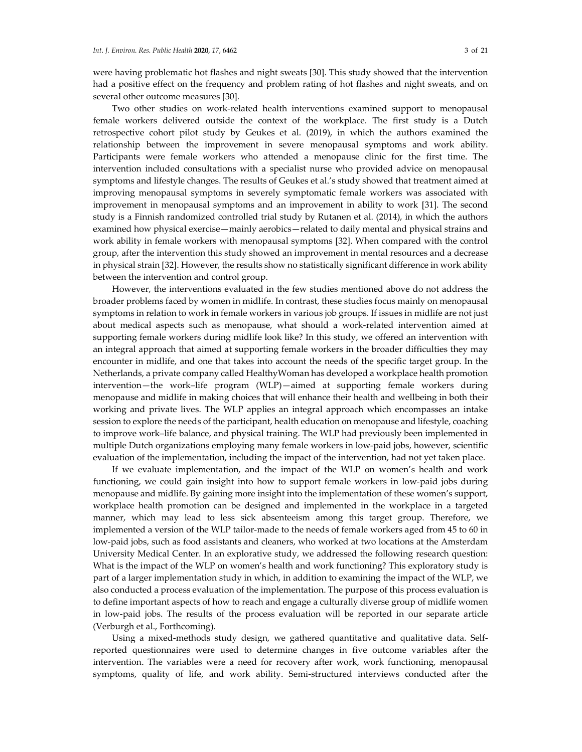were having problematic hot flashes and night sweats [30]. This study showed that the intervention had a positive effect on the frequency and problem rating of hot flashes and night sweats, and on several other outcome measures [30].

Two other studies on work-related health interventions examined support to menopausal female workers delivered outside the context of the workplace. The first study is a Dutch retrospective cohort pilot study by Geukes et al. (2019), in which the authors examined the relationship between the improvement in severe menopausal symptoms and work ability. Participants were female workers who attended a menopause clinic for the first time. The intervention included consultations with a specialist nurse who provided advice on menopausal symptoms and lifestyle changes. The results of Geukes et al.'s study showed that treatment aimed at improving menopausal symptoms in severely symptomatic female workers was associated with improvement in menopausal symptoms and an improvement in ability to work [31]. The second study is a Finnish randomized controlled trial study by Rutanen et al. (2014), in which the authors examined how physical exercise—mainly aerobics—related to daily mental and physical strains and work ability in female workers with menopausal symptoms [32]. When compared with the control group, after the intervention this study showed an improvement in mental resources and a decrease in physical strain [32]. However, the results show no statistically significant difference in work ability between the intervention and control group.

However, the interventions evaluated in the few studies mentioned above do not address the broader problems faced by women in midlife. In contrast, these studies focus mainly on menopausal symptoms in relation to work in female workers in various job groups. If issues in midlife are not just about medical aspects such as menopause, what should a work-related intervention aimed at supporting female workers during midlife look like? In this study, we offered an intervention with an integral approach that aimed at supporting female workers in the broader difficulties they may encounter in midlife, and one that takes into account the needs of the specific target group. In the Netherlands, a private company called HealthyWoman has developed a workplace health promotion intervention—the work–life program (WLP)—aimed at supporting female workers during menopause and midlife in making choices that will enhance their health and wellbeing in both their working and private lives. The WLP applies an integral approach which encompasses an intake session to explore the needs of the participant, health education on menopause and lifestyle, coaching to improve work–life balance, and physical training. The WLP had previously been implemented in multiple Dutch organizations employing many female workers in low-paid jobs, however, scientific evaluation of the implementation, including the impact of the intervention, had not yet taken place.

If we evaluate implementation, and the impact of the WLP on women's health and work functioning, we could gain insight into how to support female workers in low-paid jobs during menopause and midlife. By gaining more insight into the implementation of these women's support, workplace health promotion can be designed and implemented in the workplace in a targeted manner, which may lead to less sick absenteeism among this target group. Therefore, we implemented a version of the WLP tailor-made to the needs of female workers aged from 45 to 60 in low-paid jobs, such as food assistants and cleaners, who worked at two locations at the Amsterdam University Medical Center. In an explorative study, we addressed the following research question: What is the impact of the WLP on women's health and work functioning? This exploratory study is part of a larger implementation study in which, in addition to examining the impact of the WLP, we also conducted a process evaluation of the implementation. The purpose of this process evaluation is to define important aspects of how to reach and engage a culturally diverse group of midlife women in low-paid jobs. The results of the process evaluation will be reported in our separate article (Verburgh et al., Forthcoming).

Using a mixed-methods study design, we gathered quantitative and qualitative data. Selfreported questionnaires were used to determine changes in five outcome variables after the intervention. The variables were a need for recovery after work, work functioning, menopausal symptoms, quality of life, and work ability. Semi-structured interviews conducted after the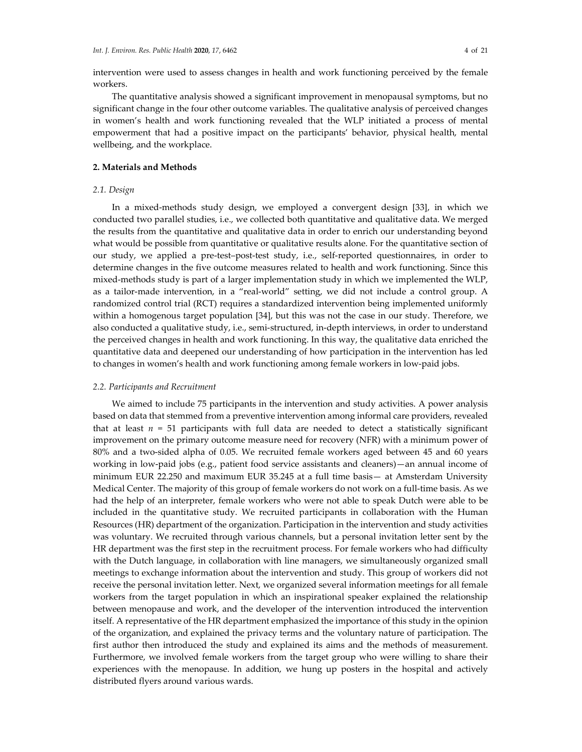intervention were used to assess changes in health and work functioning perceived by the female workers.

The quantitative analysis showed a significant improvement in menopausal symptoms, but no significant change in the four other outcome variables. The qualitative analysis of perceived changes in women's health and work functioning revealed that the WLP initiated a process of mental empowerment that had a positive impact on the participants' behavior, physical health, mental wellbeing, and the workplace.

## **2. Materials and Methods**

#### *2.1. Design*

In a mixed-methods study design, we employed a convergent design [33], in which we conducted two parallel studies, i.e., we collected both quantitative and qualitative data. We merged the results from the quantitative and qualitative data in order to enrich our understanding beyond what would be possible from quantitative or qualitative results alone. For the quantitative section of our study, we applied a pre-test–post-test study, i.e., self-reported questionnaires, in order to determine changes in the five outcome measures related to health and work functioning. Since this mixed-methods study is part of a larger implementation study in which we implemented the WLP, as a tailor-made intervention, in a "real-world" setting, we did not include a control group. A randomized control trial (RCT) requires a standardized intervention being implemented uniformly within a homogenous target population [34], but this was not the case in our study. Therefore, we also conducted a qualitative study, i.e., semi-structured, in-depth interviews, in order to understand the perceived changes in health and work functioning. In this way, the qualitative data enriched the quantitative data and deepened our understanding of how participation in the intervention has led to changes in women's health and work functioning among female workers in low-paid jobs.

## *2.2. Participants and Recruitment*

We aimed to include 75 participants in the intervention and study activities. A power analysis based on data that stemmed from a preventive intervention among informal care providers, revealed that at least  $n = 51$  participants with full data are needed to detect a statistically significant improvement on the primary outcome measure need for recovery (NFR) with a minimum power of 80% and a two-sided alpha of 0.05. We recruited female workers aged between 45 and 60 years working in low-paid jobs (e.g., patient food service assistants and cleaners)—an annual income of minimum EUR 22.250 and maximum EUR 35.245 at a full time basis— at Amsterdam University Medical Center. The majority of this group of female workers do not work on a full-time basis. As we had the help of an interpreter, female workers who were not able to speak Dutch were able to be included in the quantitative study. We recruited participants in collaboration with the Human Resources (HR) department of the organization. Participation in the intervention and study activities was voluntary. We recruited through various channels, but a personal invitation letter sent by the HR department was the first step in the recruitment process. For female workers who had difficulty with the Dutch language, in collaboration with line managers, we simultaneously organized small meetings to exchange information about the intervention and study. This group of workers did not receive the personal invitation letter. Next, we organized several information meetings for all female workers from the target population in which an inspirational speaker explained the relationship between menopause and work, and the developer of the intervention introduced the intervention itself. A representative of the HR department emphasized the importance of this study in the opinion of the organization, and explained the privacy terms and the voluntary nature of participation. The first author then introduced the study and explained its aims and the methods of measurement. Furthermore, we involved female workers from the target group who were willing to share their experiences with the menopause. In addition, we hung up posters in the hospital and actively distributed flyers around various wards.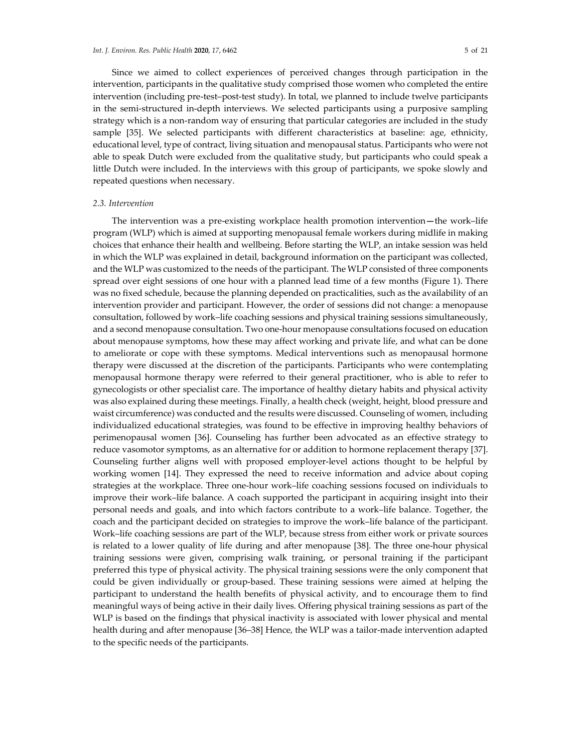Since we aimed to collect experiences of perceived changes through participation in the intervention, participants in the qualitative study comprised those women who completed the entire intervention (including pre-test–post-test study). In total, we planned to include twelve participants in the semi-structured in-depth interviews. We selected participants using a purposive sampling strategy which is a non-random way of ensuring that particular categories are included in the study sample [35]. We selected participants with different characteristics at baseline: age, ethnicity, educational level, type of contract, living situation and menopausal status. Participants who were not able to speak Dutch were excluded from the qualitative study, but participants who could speak a little Dutch were included. In the interviews with this group of participants, we spoke slowly and repeated questions when necessary.

## *2.3. Intervention*

The intervention was a pre-existing workplace health promotion intervention**—**the work–life program (WLP) which is aimed at supporting menopausal female workers during midlife in making choices that enhance their health and wellbeing. Before starting the WLP, an intake session was held in which the WLP was explained in detail, background information on the participant was collected, and the WLP was customized to the needs of the participant. The WLP consisted of three components spread over eight sessions of one hour with a planned lead time of a few months (Figure 1). There was no fixed schedule, because the planning depended on practicalities, such as the availability of an intervention provider and participant. However, the order of sessions did not change: a menopause consultation, followed by work–life coaching sessions and physical training sessions simultaneously, and a second menopause consultation. Two one-hour menopause consultations focused on education about menopause symptoms, how these may affect working and private life, and what can be done to ameliorate or cope with these symptoms. Medical interventions such as menopausal hormone therapy were discussed at the discretion of the participants. Participants who were contemplating menopausal hormone therapy were referred to their general practitioner, who is able to refer to gynecologists or other specialist care. The importance of healthy dietary habits and physical activity was also explained during these meetings. Finally, a health check (weight, height, blood pressure and waist circumference) was conducted and the results were discussed. Counseling of women, including individualized educational strategies, was found to be effective in improving healthy behaviors of perimenopausal women [36]. Counseling has further been advocated as an effective strategy to reduce vasomotor symptoms, as an alternative for or addition to hormone replacement therapy [37]. Counseling further aligns well with proposed employer-level actions thought to be helpful by working women [14]. They expressed the need to receive information and advice about coping strategies at the workplace. Three one-hour work–life coaching sessions focused on individuals to improve their work–life balance. A coach supported the participant in acquiring insight into their personal needs and goals, and into which factors contribute to a work–life balance. Together, the coach and the participant decided on strategies to improve the work–life balance of the participant. Work–life coaching sessions are part of the WLP, because stress from either work or private sources is related to a lower quality of life during and after menopause [38]. The three one-hour physical training sessions were given, comprising walk training, or personal training if the participant preferred this type of physical activity. The physical training sessions were the only component that could be given individually or group-based. These training sessions were aimed at helping the participant to understand the health benefits of physical activity, and to encourage them to find meaningful ways of being active in their daily lives. Offering physical training sessions as part of the WLP is based on the findings that physical inactivity is associated with lower physical and mental health during and after menopause [36–38] Hence, the WLP was a tailor-made intervention adapted to the specific needs of the participants.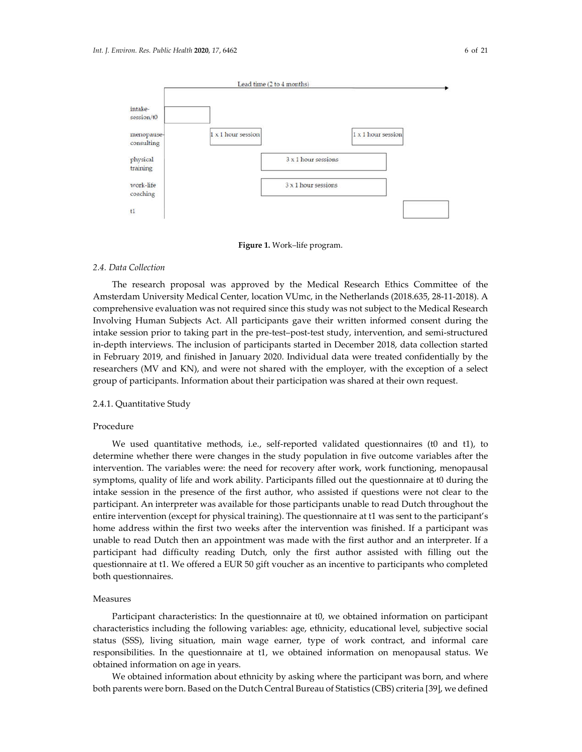

**Figure 1.** Work–life program.

### *2.4. Data Collection*

The research proposal was approved by the Medical Research Ethics Committee of the Amsterdam University Medical Center, location VUmc, in the Netherlands (2018.635, 28-11-2018). A comprehensive evaluation was not required since this study was not subject to the Medical Research Involving Human Subjects Act. All participants gave their written informed consent during the intake session prior to taking part in the pre-test–post-test study, intervention, and semi-structured in-depth interviews. The inclusion of participants started in December 2018, data collection started in February 2019, and finished in January 2020. Individual data were treated confidentially by the researchers (MV and KN), and were not shared with the employer, with the exception of a select group of participants. Information about their participation was shared at their own request.

#### 2.4.1. Quantitative Study

## Procedure

We used quantitative methods, i.e., self-reported validated questionnaires (t0 and t1), to determine whether there were changes in the study population in five outcome variables after the intervention. The variables were: the need for recovery after work, work functioning, menopausal symptoms, quality of life and work ability. Participants filled out the questionnaire at t0 during the intake session in the presence of the first author, who assisted if questions were not clear to the participant. An interpreter was available for those participants unable to read Dutch throughout the entire intervention (except for physical training). The questionnaire at t1 was sent to the participant's home address within the first two weeks after the intervention was finished. If a participant was unable to read Dutch then an appointment was made with the first author and an interpreter. If a participant had difficulty reading Dutch, only the first author assisted with filling out the questionnaire at t1. We offered a EUR 50 gift voucher as an incentive to participants who completed both questionnaires.

#### Measures

Participant characteristics: In the questionnaire at t0, we obtained information on participant characteristics including the following variables: age, ethnicity, educational level, subjective social status (SSS), living situation, main wage earner, type of work contract, and informal care responsibilities. In the questionnaire at t1, we obtained information on menopausal status. We obtained information on age in years.

We obtained information about ethnicity by asking where the participant was born, and where both parents were born. Based on the Dutch Central Bureau of Statistics (CBS) criteria [39], we defined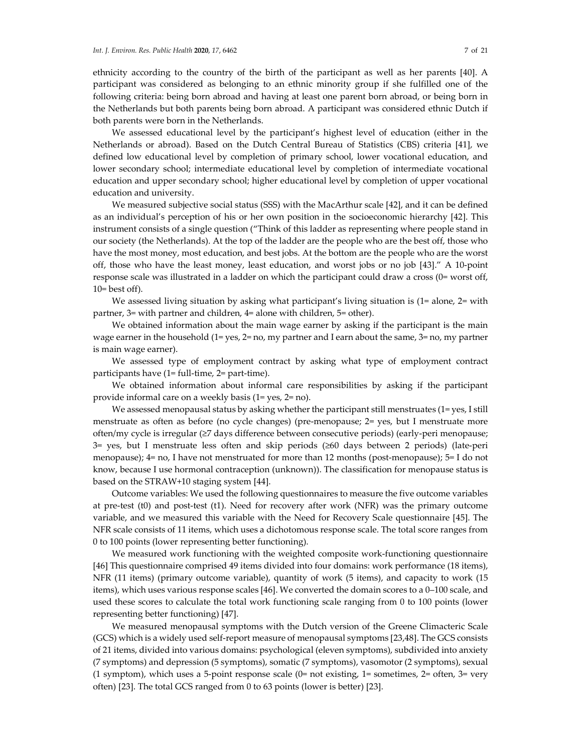ethnicity according to the country of the birth of the participant as well as her parents [40]. A participant was considered as belonging to an ethnic minority group if she fulfilled one of the following criteria: being born abroad and having at least one parent born abroad, or being born in the Netherlands but both parents being born abroad. A participant was considered ethnic Dutch if both parents were born in the Netherlands.

We assessed educational level by the participant's highest level of education (either in the Netherlands or abroad). Based on the Dutch Central Bureau of Statistics (CBS) criteria [41], we defined low educational level by completion of primary school, lower vocational education, and lower secondary school; intermediate educational level by completion of intermediate vocational education and upper secondary school; higher educational level by completion of upper vocational education and university.

We measured subjective social status (SSS) with the MacArthur scale [42], and it can be defined as an individual's perception of his or her own position in the socioeconomic hierarchy [42]. This instrument consists of a single question ("Think of this ladder as representing where people stand in our society (the Netherlands). At the top of the ladder are the people who are the best off, those who have the most money, most education, and best jobs. At the bottom are the people who are the worst off, those who have the least money, least education, and worst jobs or no job [43]." A 10-point response scale was illustrated in a ladder on which the participant could draw a cross (0= worst off,  $10=$  best off).

We assessed living situation by asking what participant's living situation is (1= alone, 2= with partner, 3= with partner and children, 4= alone with children, 5= other).

We obtained information about the main wage earner by asking if the participant is the main wage earner in the household (1= yes, 2= no, my partner and I earn about the same, 3= no, my partner is main wage earner).

We assessed type of employment contract by asking what type of employment contract participants have (1= full-time, 2= part-time).

We obtained information about informal care responsibilities by asking if the participant provide informal care on a weekly basis (1= yes, 2= no).

We assessed menopausal status by asking whether the participant still menstruates (1= yes, I still menstruate as often as before (no cycle changes) (pre-menopause; 2= yes, but I menstruate more often/my cycle is irregular (≥7 days difference between consecutive periods) (early-peri menopause; 3= yes, but I menstruate less often and skip periods (≥60 days between 2 periods) (late-peri menopause); 4= no, I have not menstruated for more than 12 months (post-menopause); 5= I do not know, because I use hormonal contraception (unknown)). The classification for menopause status is based on the STRAW+10 staging system [44].

Outcome variables: We used the following questionnaires to measure the five outcome variables at pre-test (t0) and post-test (t1). Need for recovery after work (NFR) was the primary outcome variable, and we measured this variable with the Need for Recovery Scale questionnaire [45]. The NFR scale consists of 11 items, which uses a dichotomous response scale. The total score ranges from 0 to 100 points (lower representing better functioning).

We measured work functioning with the weighted composite work-functioning questionnaire [46] This questionnaire comprised 49 items divided into four domains: work performance (18 items), NFR (11 items) (primary outcome variable), quantity of work (5 items), and capacity to work (15 items), which uses various response scales [46]. We converted the domain scores to a 0–100 scale, and used these scores to calculate the total work functioning scale ranging from 0 to 100 points (lower representing better functioning) [47].

We measured menopausal symptoms with the Dutch version of the Greene Climacteric Scale (GCS) which is a widely used self-report measure of menopausal symptoms [23,48]. The GCS consists of 21 items, divided into various domains: psychological (eleven symptoms), subdivided into anxiety (7 symptoms) and depression (5 symptoms), somatic (7 symptoms), vasomotor (2 symptoms), sexual (1 symptom), which uses a 5-point response scale ( $0=$  not existing,  $1=$  sometimes,  $2=$  often,  $3=$  very often) [23]. The total GCS ranged from 0 to 63 points (lower is better) [23].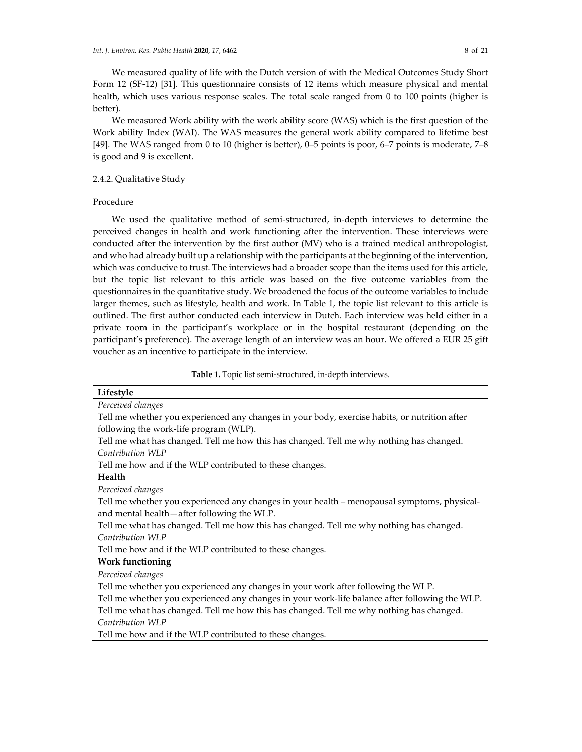We measured quality of life with the Dutch version of with the Medical Outcomes Study Short Form 12 (SF-12) [31]. This questionnaire consists of 12 items which measure physical and mental health, which uses various response scales. The total scale ranged from 0 to 100 points (higher is better).

We measured Work ability with the work ability score (WAS) which is the first question of the Work ability Index (WAI). The WAS measures the general work ability compared to lifetime best [49]. The WAS ranged from 0 to 10 (higher is better), 0–5 points is poor, 6–7 points is moderate, 7–8 is good and 9 is excellent.

#### 2.4.2. Qualitative Study

## Procedure

We used the qualitative method of semi-structured, in-depth interviews to determine the perceived changes in health and work functioning after the intervention. These interviews were conducted after the intervention by the first author (MV) who is a trained medical anthropologist, and who had already built up a relationship with the participants at the beginning of the intervention, which was conducive to trust. The interviews had a broader scope than the items used for this article, but the topic list relevant to this article was based on the five outcome variables from the questionnaires in the quantitative study. We broadened the focus of the outcome variables to include larger themes, such as lifestyle, health and work. In Table 1, the topic list relevant to this article is outlined. The first author conducted each interview in Dutch. Each interview was held either in a private room in the participant's workplace or in the hospital restaurant (depending on the participant's preference). The average length of an interview was an hour. We offered a EUR 25 gift voucher as an incentive to participate in the interview.

**Table 1.** Topic list semi-structured, in-depth interviews.

| Lifestyle                                                                                      |
|------------------------------------------------------------------------------------------------|
| Perceived changes                                                                              |
| Tell me whether you experienced any changes in your body, exercise habits, or nutrition after  |
| following the work-life program (WLP).                                                         |
| Tell me what has changed. Tell me how this has changed. Tell me why nothing has changed.       |
| Contribution WLP                                                                               |
| Tell me how and if the WLP contributed to these changes.                                       |
| Health                                                                                         |
| Perceived changes                                                                              |
| Tell me whether you experienced any changes in your health - menopausal symptoms, physical-    |
| and mental health-after following the WLP.                                                     |
| Tell me what has changed. Tell me how this has changed. Tell me why nothing has changed.       |
| Contribution WLP                                                                               |
| Tell me how and if the WLP contributed to these changes.                                       |
| <b>Work functioning</b>                                                                        |
| Perceived changes                                                                              |
| Tell me whether you experienced any changes in your work after following the WLP.              |
| Tell me whether you experienced any changes in your work-life balance after following the WLP. |
| Tell me what has changed. Tell me how this has changed. Tell me why nothing has changed.       |
| Contribution WLP                                                                               |
| Tell me how and if the WLP contributed to these changes.                                       |
|                                                                                                |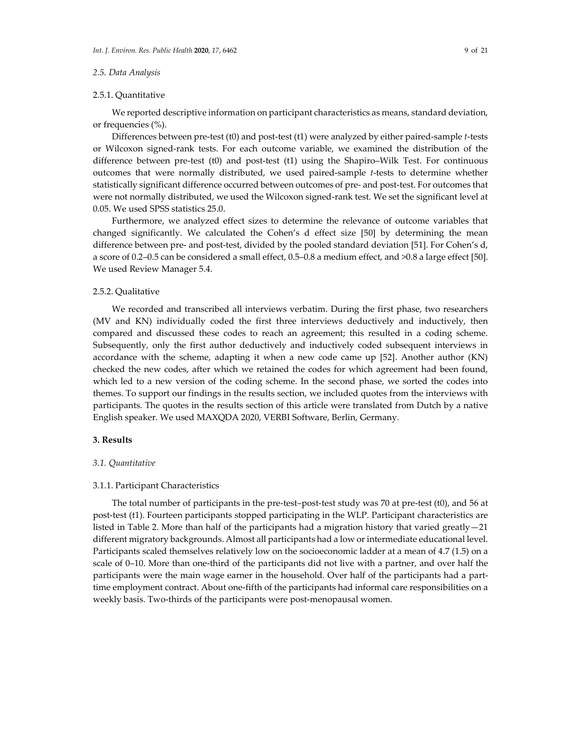#### *2.5. Data Analysis*

#### 2.5.1. Quantitative

We reported descriptive information on participant characteristics as means, standard deviation, or frequencies (%).

Differences between pre-test (t0) and post-test (t1) were analyzed by either paired-sample *t*-tests or Wilcoxon signed-rank tests. For each outcome variable, we examined the distribution of the difference between pre-test (t0) and post-test (t1) using the Shapiro–Wilk Test. For continuous outcomes that were normally distributed, we used paired-sample *t*-tests to determine whether statistically significant difference occurred between outcomes of pre- and post-test. For outcomes that were not normally distributed, we used the Wilcoxon signed-rank test. We set the significant level at 0.05. We used SPSS statistics 25.0.

Furthermore, we analyzed effect sizes to determine the relevance of outcome variables that changed significantly. We calculated the Cohen's d effect size [50] by determining the mean difference between pre- and post-test, divided by the pooled standard deviation [51]. For Cohen's d, a score of 0.2–0.5 can be considered a small effect, 0.5–0.8 a medium effect, and >0.8 a large effect [50]. We used Review Manager 5.4.

### 2.5.2. Qualitative

We recorded and transcribed all interviews verbatim. During the first phase, two researchers (MV and KN) individually coded the first three interviews deductively and inductively, then compared and discussed these codes to reach an agreement; this resulted in a coding scheme. Subsequently, only the first author deductively and inductively coded subsequent interviews in accordance with the scheme, adapting it when a new code came up [52]. Another author (KN) checked the new codes, after which we retained the codes for which agreement had been found, which led to a new version of the coding scheme. In the second phase, we sorted the codes into themes. To support our findings in the results section, we included quotes from the interviews with participants. The quotes in the results section of this article were translated from Dutch by a native English speaker. We used MAXQDA 2020, VERBI Software, Berlin, Germany.

#### **3. Results**

#### *3.1. Quantitative*

#### 3.1.1. Participant Characteristics

The total number of participants in the pre-test–post-test study was 70 at pre-test (t0), and 56 at post-test (t1). Fourteen participants stopped participating in the WLP. Participant characteristics are listed in Table 2. More than half of the participants had a migration history that varied greatly—21 different migratory backgrounds. Almost all participants had a low or intermediate educational level. Participants scaled themselves relatively low on the socioeconomic ladder at a mean of 4.7 (1.5) on a scale of 0–10. More than one-third of the participants did not live with a partner, and over half the participants were the main wage earner in the household. Over half of the participants had a parttime employment contract. About one-fifth of the participants had informal care responsibilities on a weekly basis. Two-thirds of the participants were post-menopausal women.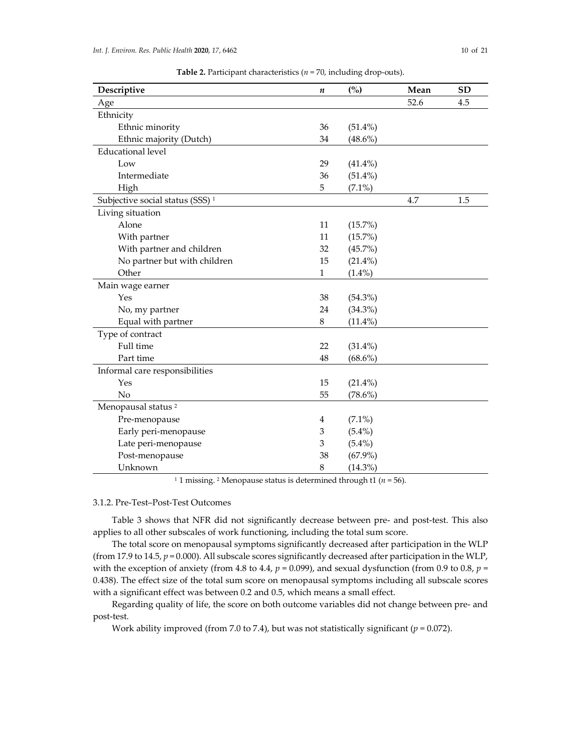| Descriptive                                 | n            | (%)        | Mean | <b>SD</b> |
|---------------------------------------------|--------------|------------|------|-----------|
| Age                                         |              |            | 52.6 | 4.5       |
| Ethnicity                                   |              |            |      |           |
| Ethnic minority                             | 36           | $(51.4\%)$ |      |           |
| Ethnic majority (Dutch)                     | 34           | $(48.6\%)$ |      |           |
| <b>Educational level</b>                    |              |            |      |           |
| Low                                         | 29           | $(41.4\%)$ |      |           |
| Intermediate                                | 36           | $(51.4\%)$ |      |           |
| High                                        | 5            | $(7.1\%)$  |      |           |
| Subjective social status (SSS) <sup>1</sup> |              |            | 4.7  | 1.5       |
| Living situation                            |              |            |      |           |
| Alone                                       | 11           | (15.7%)    |      |           |
| With partner                                | 11           | $(15.7\%)$ |      |           |
| With partner and children                   | 32           | $(45.7\%)$ |      |           |
| No partner but with children                | 15           | $(21.4\%)$ |      |           |
| Other                                       | $\mathbf{1}$ | $(1.4\%)$  |      |           |
| Main wage earner                            |              |            |      |           |
| Yes                                         | 38           | $(54.3\%)$ |      |           |
| No, my partner                              | 24           | $(34.3\%)$ |      |           |
| Equal with partner                          | $\,8\,$      | $(11.4\%)$ |      |           |
| Type of contract                            |              |            |      |           |
| Full time                                   | 22           | $(31.4\%)$ |      |           |
| Part time                                   | 48           | $(68.6\%)$ |      |           |
| Informal care responsibilities              |              |            |      |           |
| Yes                                         | 15           | $(21.4\%)$ |      |           |
| No                                          | 55           | $(78.6\%)$ |      |           |
| Menopausal status <sup>2</sup>              |              |            |      |           |
| Pre-menopause                               | 4            | $(7.1\%)$  |      |           |
| Early peri-menopause                        | 3            | $(5.4\%)$  |      |           |
| Late peri-menopause                         | 3            | $(5.4\%)$  |      |           |
| Post-menopause                              | 38           | $(67.9\%)$ |      |           |
| Unknown                                     | 8            | $(14.3\%)$ |      |           |

**Table 2.** Participant characteristics (*n* = 70, including drop-outs).

<sup>1</sup> 1 missing. <sup>2</sup> Menopause status is determined through t1 ( $n = 56$ ).

# 3.1.2. Pre-Test–Post-Test Outcomes

Table 3 shows that NFR did not significantly decrease between pre- and post-test. This also applies to all other subscales of work functioning, including the total sum score.

The total score on menopausal symptoms significantly decreased after participation in the WLP (from 17.9 to 14.5,  $p = 0.000$ ). All subscale scores significantly decreased after participation in the WLP, with the exception of anxiety (from 4.8 to 4.4,  $p = 0.099$ ), and sexual dysfunction (from 0.9 to 0.8,  $p =$ 0.438). The effect size of the total sum score on menopausal symptoms including all subscale scores with a significant effect was between 0.2 and 0.5, which means a small effect.

Regarding quality of life, the score on both outcome variables did not change between pre- and post-test.

Work ability improved (from 7.0 to 7.4), but was not statistically significant (*p* = 0.072).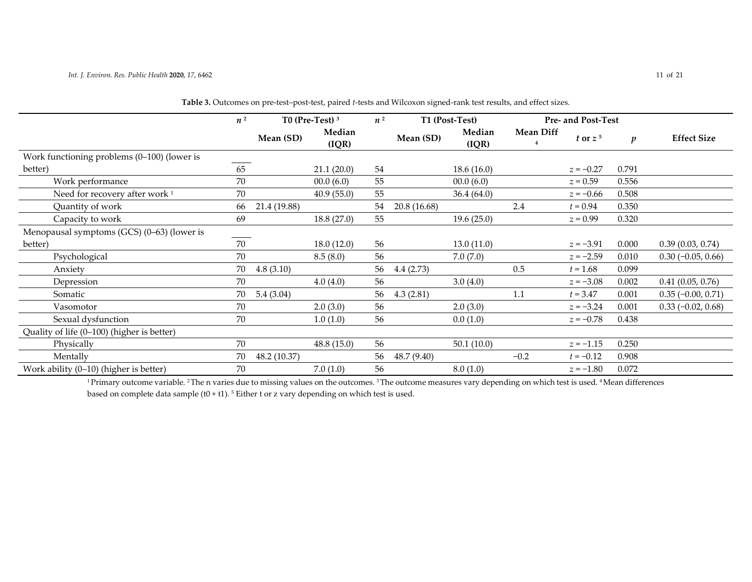|                                             | $n^2$ |              | T0 (Pre-Test) <sup>3</sup><br>$n^2$ |    | T1 (Post-Test) |                 | Pre- and Post-Test |             |                  |                      |
|---------------------------------------------|-------|--------------|-------------------------------------|----|----------------|-----------------|--------------------|-------------|------------------|----------------------|
|                                             |       | Mean (SD)    | Median<br>(IQR)                     |    | Mean (SD)      | Median<br>(IQR) | <b>Mean Diff</b>   | t or $z^5$  | $\boldsymbol{p}$ | <b>Effect Size</b>   |
| Work functioning problems (0-100) (lower is |       |              |                                     |    |                |                 |                    |             |                  |                      |
| better)                                     | 65    |              | 21.1(20.0)                          | 54 |                | 18.6(16.0)      |                    | $z = -0.27$ | 0.791            |                      |
| Work performance                            | 70    |              | 00.0(6.0)                           | 55 |                | 00.0(6.0)       |                    | $z = 0.59$  | 0.556            |                      |
| Need for recovery after work <sup>1</sup>   | 70    |              | 40.9(55.0)                          | 55 |                | 36.4(64.0)      |                    | $z = -0.66$ | 0.508            |                      |
| Quantity of work                            | 66    | 21.4 (19.88) |                                     | 54 | 20.8 (16.68)   |                 | 2.4                | $t = 0.94$  | 0.350            |                      |
| Capacity to work                            | 69    |              | 18.8(27.0)                          | 55 |                | 19.6(25.0)      |                    | $z = 0.99$  | 0.320            |                      |
| Menopausal symptoms (GCS) (0-63) (lower is  |       |              |                                     |    |                |                 |                    |             |                  |                      |
| better)                                     | 70    |              | 18.0(12.0)                          | 56 |                | 13.0(11.0)      |                    | $z = -3.91$ | 0.000            | 0.39(0.03, 0.74)     |
| Psychological                               | 70    |              | 8.5(8.0)                            | 56 |                | 7.0(7.0)        |                    | $z = -2.59$ | 0.010            | $0.30 (-0.05, 0.66)$ |
| Anxiety                                     | 70    | 4.8(3.10)    |                                     | 56 | 4.4(2.73)      |                 | 0.5                | $t = 1.68$  | 0.099            |                      |
| Depression                                  | 70    |              | 4.0(4.0)                            | 56 |                | 3.0(4.0)        |                    | $z = -3.08$ | 0.002            | 0.41(0.05, 0.76)     |
| Somatic                                     | 70    | 5.4(3.04)    |                                     | 56 | 4.3(2.81)      |                 | 1.1                | $t = 3.47$  | 0.001            | $0.35 (-0.00, 0.71)$ |
| Vasomotor                                   | 70    |              | 2.0(3.0)                            | 56 |                | 2.0(3.0)        |                    | $z = -3.24$ | 0.001            | $0.33 (-0.02, 0.68)$ |
| Sexual dysfunction                          | 70    |              | 1.0(1.0)                            | 56 |                | 0.0(1.0)        |                    | $z = -0.78$ | 0.438            |                      |
| Quality of life (0-100) (higher is better)  |       |              |                                     |    |                |                 |                    |             |                  |                      |
| Physically                                  | 70    |              | 48.8(15.0)                          | 56 |                | 50.1(10.0)      |                    | $z = -1.15$ | 0.250            |                      |
| Mentally                                    | 70    | 48.2 (10.37) |                                     | 56 | 48.7(9.40)     |                 | $-0.2$             | $t = -0.12$ | 0.908            |                      |
| Work ability (0-10) (higher is better)      | 70    |              | 7.0(1.0)                            | 56 |                | 8.0(1.0)        |                    | $z = -1.80$ | 0.072            |                      |

**Table 3.** Outcomes on pre-test–post-test, paired *t*-tests and Wilcoxon signed-rank test results, and effect sizes.

<sup>1</sup> Primary outcome variable. <sup>2</sup> The n varies due to missing values on the outcomes. <sup>3</sup> The outcome measures vary depending on which test is used. <sup>4</sup> Mean differences based on complete data sample (t0 + t1).<sup>5</sup> Either t or z vary depending on which test is used.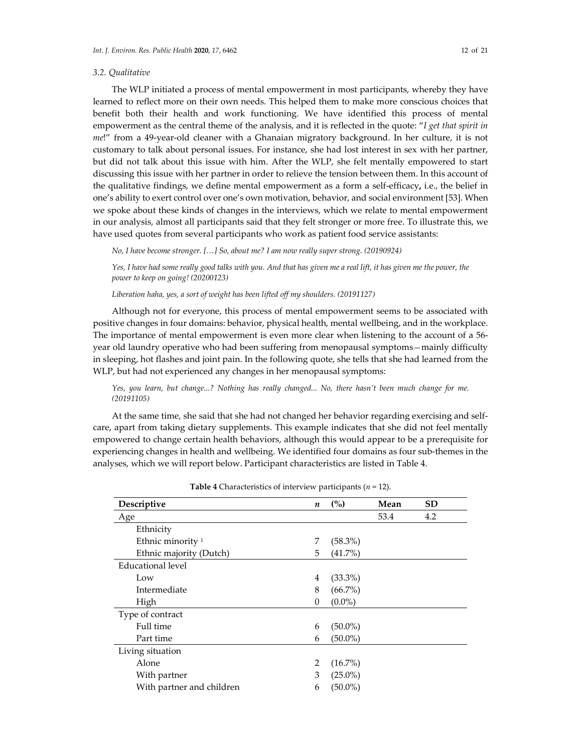### *3.2. Qualitative*

The WLP initiated a process of mental empowerment in most participants, whereby they have learned to reflect more on their own needs. This helped them to make more conscious choices that benefit both their health and work functioning. We have identified this process of mental empowerment as the central theme of the analysis, and it is reflected in the quote: "*I get that spirit in me*!" from a 49-year-old cleaner with a Ghanaian migratory background. In her culture, it is not customary to talk about personal issues. For instance, she had lost interest in sex with her partner, but did not talk about this issue with him. After the WLP, she felt mentally empowered to start discussing this issue with her partner in order to relieve the tension between them. In this account of the qualitative findings, we define mental empowerment as a form a self-efficacy**,** i.e., the belief in one's ability to exert control over one's own motivation, behavior, and social environment [53]. When we spoke about these kinds of changes in the interviews, which we relate to mental empowerment in our analysis, almost all participants said that they felt stronger or more free. To illustrate this, we have used quotes from several participants who work as patient food service assistants:

*No, I have become stronger. […] So, about me? I am now really super strong. (20190924)*

Yes, I have had some really good talks with you. And that has given me a real lift, it has given me the power, the *power to keep on going! (20200123)*

*Liberation haha, yes, a sort of weight has been lifted off my shoulders. (20191127)*

Although not for everyone, this process of mental empowerment seems to be associated with positive changes in four domains: behavior, physical health, mental wellbeing, and in the workplace. The importance of mental empowerment is even more clear when listening to the account of a 56 year old laundry operative who had been suffering from menopausal symptoms—mainly difficulty in sleeping, hot flashes and joint pain. In the following quote, she tells that she had learned from the WLP, but had not experienced any changes in her menopausal symptoms:

*Yes, you learn, but change...? Nothing has really changed... No, there hasn't been much change for me. (20191105)*

At the same time, she said that she had not changed her behavior regarding exercising and selfcare, apart from taking dietary supplements. This example indicates that she did not feel mentally empowered to change certain health behaviors, although this would appear to be a prerequisite for experiencing changes in health and wellbeing. We identified four domains as four sub-themes in the analyses, which we will report below. Participant characteristics are listed in Table 4.

| Descriptive                  | n | (%)        | Mean | <b>SD</b> |
|------------------------------|---|------------|------|-----------|
| Age                          |   |            | 53.4 | 4.2       |
| Ethnicity                    |   |            |      |           |
| Ethnic minority <sup>1</sup> | 7 | $(58.3\%)$ |      |           |
| Ethnic majority (Dutch)      | 5 | $(41.7\%)$ |      |           |
| Educational level            |   |            |      |           |
| Low                          | 4 | $(33.3\%)$ |      |           |
| Intermediate                 | 8 | $(66.7\%)$ |      |           |
| High                         | 0 | $(0.0\%)$  |      |           |
| Type of contract             |   |            |      |           |
| Full time                    | 6 | $(50.0\%)$ |      |           |
| Part time                    | 6 | $(50.0\%)$ |      |           |
| Living situation             |   |            |      |           |
| Alone                        | 2 | $(16.7\%)$ |      |           |
| With partner                 | 3 | $(25.0\%)$ |      |           |
| With partner and children    | 6 | $(50.0\%)$ |      |           |

**Table 4** Characteristics of interview participants (*n* = 12).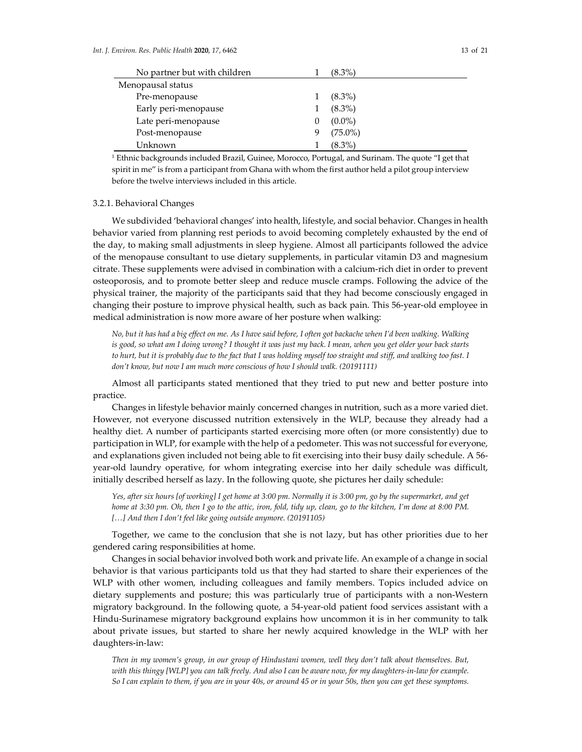| No partner but with children |          | $(8.3\%)$  |
|------------------------------|----------|------------|
| Menopausal status            |          |            |
| Pre-menopause                |          | $(8.3\%)$  |
| Early peri-menopause         |          | $(8.3\%)$  |
| Late peri-menopause          | $\theta$ | $(0.0\%)$  |
| Post-menopause               | 9        | $(75.0\%)$ |
| Unknown                      |          | $(8.3\%)$  |

<sup>1</sup> Ethnic backgrounds included Brazil, Guinee, Morocco, Portugal, and Surinam. The quote "I get that spirit in me" is from a participant from Ghana with whom the first author held a pilot group interview before the twelve interviews included in this article.

## 3.2.1. Behavioral Changes

We subdivided 'behavioral changes' into health, lifestyle, and social behavior. Changes in health behavior varied from planning rest periods to avoid becoming completely exhausted by the end of the day, to making small adjustments in sleep hygiene. Almost all participants followed the advice of the menopause consultant to use dietary supplements, in particular vitamin D3 and magnesium citrate. These supplements were advised in combination with a calcium-rich diet in order to prevent osteoporosis, and to promote better sleep and reduce muscle cramps. Following the advice of the physical trainer, the majority of the participants said that they had become consciously engaged in changing their posture to improve physical health, such as back pain. This 56-year-old employee in medical administration is now more aware of her posture when walking:

*No, but it has had a big effect on me. As I have said before, I often got backache when I'd been walking. Walking is good, so what am I doing wrong? I thought it was just my back. I mean, when you get older your back starts*  to hurt, but it is probably due to the fact that I was holding myself too straight and stiff, and walking too fast. I *don't know, but now I am much more conscious of how I should walk. (20191111)*

Almost all participants stated mentioned that they tried to put new and better posture into practice.

Changes in lifestyle behavior mainly concerned changes in nutrition, such as a more varied diet. However, not everyone discussed nutrition extensively in the WLP, because they already had a healthy diet. A number of participants started exercising more often (or more consistently) due to participation in WLP, for example with the help of a pedometer. This was not successful for everyone, and explanations given included not being able to fit exercising into their busy daily schedule. A 56 year-old laundry operative, for whom integrating exercise into her daily schedule was difficult, initially described herself as lazy. In the following quote, she pictures her daily schedule:

*Yes, after six hours [of working] I get home at 3:00 pm. Normally it is 3:00 pm, go by the supermarket, and get home at 3:30 pm. Oh, then I go to the attic, iron, fold, tidy up, clean, go to the kitchen, I'm done at 8:00 PM. […] And then I don't feel like going outside anymore. (20191105)*

Together, we came to the conclusion that she is not lazy, but has other priorities due to her gendered caring responsibilities at home.

Changes in social behavior involved both work and private life. An example of a change in social behavior is that various participants told us that they had started to share their experiences of the WLP with other women, including colleagues and family members. Topics included advice on dietary supplements and posture; this was particularly true of participants with a non-Western migratory background. In the following quote, a 54-year-old patient food services assistant with a Hindu-Surinamese migratory background explains how uncommon it is in her community to talk about private issues, but started to share her newly acquired knowledge in the WLP with her daughters-in-law:

*Then in my women's group, in our group of Hindustani women, well they don't talk about themselves. But, with this thingy [WLP] you can talk freely. And also I can be aware now, for my daughters-in-law for example. So I can explain to them, if you are in your 40s, or around 45 or in your 50s, then you can get these symptoms.*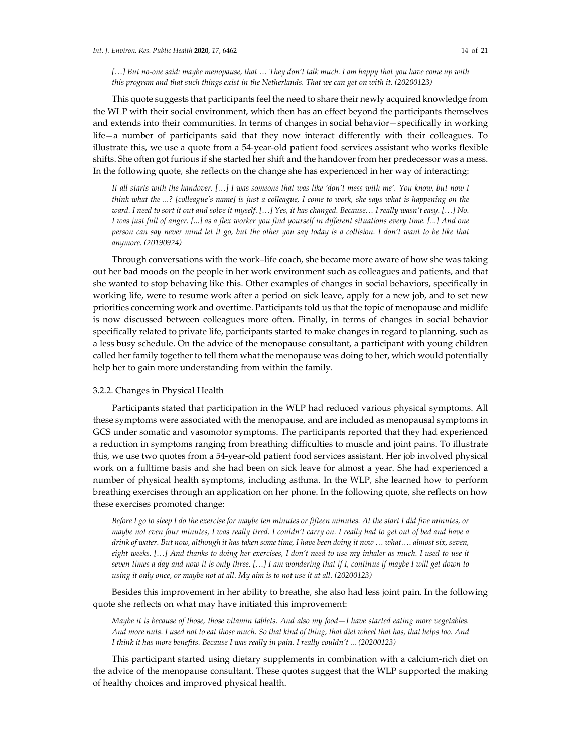*[…] But no-one said: maybe menopause, that … They don't talk much. I am happy that you have come up with this program and that such things exist in the Netherlands. That we can get on with it. (20200123)*

This quote suggests that participants feel the need to share their newly acquired knowledge from the WLP with their social environment, which then has an effect beyond the participants themselves and extends into their communities. In terms of changes in social behavior—specifically in working life—a number of participants said that they now interact differently with their colleagues. To illustrate this, we use a quote from a 54-year-old patient food services assistant who works flexible shifts. She often got furious if she started her shift and the handover from her predecessor was a mess. In the following quote, she reflects on the change she has experienced in her way of interacting:

*It all starts with the handover. […] I was someone that was like 'don't mess with me'. You know, but now I think what the ...?* [colleague's name] is just a colleague, I come to work, she says what is happening on the *ward. I need to sort it out and solve it myself. […] Yes, it has changed. Because… I really wasn't easy. […] No. I was just full of anger. [...] as a flex worker you find yourself in different situations every time. [...] And one person can say never mind let it go, but the other you say today is a collision. I don't want to be like that anymore. (20190924)*

Through conversations with the work–life coach, she became more aware of how she was taking out her bad moods on the people in her work environment such as colleagues and patients, and that she wanted to stop behaving like this. Other examples of changes in social behaviors, specifically in working life, were to resume work after a period on sick leave, apply for a new job, and to set new priorities concerning work and overtime. Participants told us that the topic of menopause and midlife is now discussed between colleagues more often. Finally, in terms of changes in social behavior specifically related to private life, participants started to make changes in regard to planning, such as a less busy schedule. On the advice of the menopause consultant, a participant with young children called her family together to tell them what the menopause was doing to her, which would potentially help her to gain more understanding from within the family.

## 3.2.2. Changes in Physical Health

Participants stated that participation in the WLP had reduced various physical symptoms. All these symptoms were associated with the menopause, and are included as menopausal symptoms in GCS under somatic and vasomotor symptoms. The participants reported that they had experienced a reduction in symptoms ranging from breathing difficulties to muscle and joint pains. To illustrate this, we use two quotes from a 54-year-old patient food services assistant. Her job involved physical work on a fulltime basis and she had been on sick leave for almost a year. She had experienced a number of physical health symptoms, including asthma. In the WLP, she learned how to perform breathing exercises through an application on her phone. In the following quote, she reflects on how these exercises promoted change:

*Before I go to sleep I do the exercise for maybe ten minutes or fifteen minutes. At the start I did five minutes, or maybe not even four minutes, I was really tired. I couldn't carry on. I really had to get out of bed and have a drink of water. But now, although it has taken some time, I have been doing it now … what…. almost six, seven, eight weeks. […] And thanks to doing her exercises, I don't need to use my inhaler as much. I used to use it seven times a day and now it is only three. […] I am wondering that if I, continue if maybe I will get down to using it only once, or maybe not at all. My aim is to not use it at all. (20200123)*

Besides this improvement in her ability to breathe, she also had less joint pain. In the following quote she reflects on what may have initiated this improvement:

*Maybe it is because of those, those vitamin tablets. And also my food—I have started eating more vegetables. And more nuts. I used not to eat those much. So that kind of thing, that diet wheel that has, that helps too. And I think it has more benefits. Because I was really in pain. I really couldn't ... (20200123)*

This participant started using dietary supplements in combination with a calcium-rich diet on the advice of the menopause consultant. These quotes suggest that the WLP supported the making of healthy choices and improved physical health.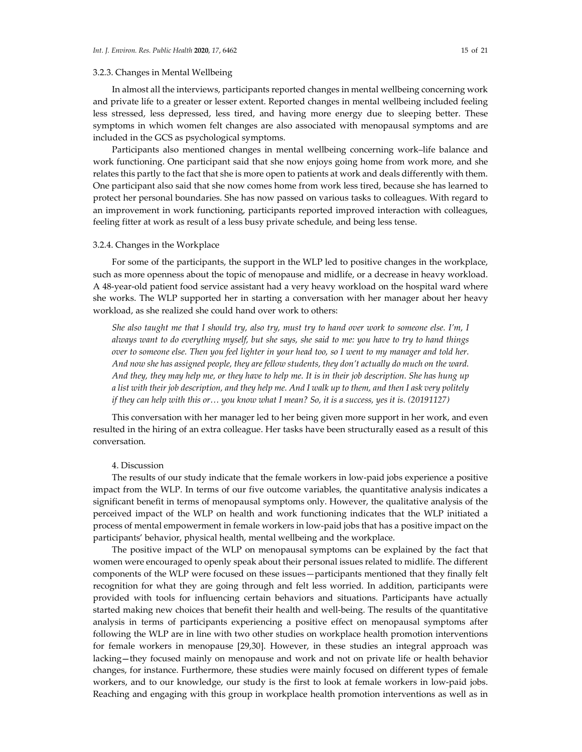### 3.2.3. Changes in Mental Wellbeing

In almost all the interviews, participants reported changes in mental wellbeing concerning work and private life to a greater or lesser extent. Reported changes in mental wellbeing included feeling less stressed, less depressed, less tired, and having more energy due to sleeping better. These symptoms in which women felt changes are also associated with menopausal symptoms and are included in the GCS as psychological symptoms.

Participants also mentioned changes in mental wellbeing concerning work–life balance and work functioning. One participant said that she now enjoys going home from work more, and she relates this partly to the fact that she is more open to patients at work and deals differently with them. One participant also said that she now comes home from work less tired, because she has learned to protect her personal boundaries. She has now passed on various tasks to colleagues. With regard to an improvement in work functioning, participants reported improved interaction with colleagues, feeling fitter at work as result of a less busy private schedule, and being less tense.

#### 3.2.4. Changes in the Workplace

For some of the participants, the support in the WLP led to positive changes in the workplace, such as more openness about the topic of menopause and midlife, or a decrease in heavy workload. A 48-year-old patient food service assistant had a very heavy workload on the hospital ward where she works. The WLP supported her in starting a conversation with her manager about her heavy workload, as she realized she could hand over work to others:

*She also taught me that I should try, also try, must try to hand over work to someone else. I'm, I always want to do everything myself, but she says, she said to me: you have to try to hand things over to someone else. Then you feel lighter in your head too, so I went to my manager and told her. And now she has assigned people, they are fellow students, they don't actually do much on the ward. And they, they may help me, or they have to help me. It is in their job description. She has hung up a list with their job description, and they help me. And I walk up to them, and then I ask very politely if they can help with this or… you know what I mean? So, it is a success, yes it is. (20191127)*

This conversation with her manager led to her being given more support in her work, and even resulted in the hiring of an extra colleague. Her tasks have been structurally eased as a result of this conversation.

#### 4. Discussion

The results of our study indicate that the female workers in low-paid jobs experience a positive impact from the WLP. In terms of our five outcome variables, the quantitative analysis indicates a significant benefit in terms of menopausal symptoms only. However, the qualitative analysis of the perceived impact of the WLP on health and work functioning indicates that the WLP initiated a process of mental empowerment in female workers in low-paid jobs that has a positive impact on the participants' behavior, physical health, mental wellbeing and the workplace.

The positive impact of the WLP on menopausal symptoms can be explained by the fact that women were encouraged to openly speak about their personal issues related to midlife. The different components of the WLP were focused on these issues—participants mentioned that they finally felt recognition for what they are going through and felt less worried. In addition, participants were provided with tools for influencing certain behaviors and situations. Participants have actually started making new choices that benefit their health and well-being. The results of the quantitative analysis in terms of participants experiencing a positive effect on menopausal symptoms after following the WLP are in line with two other studies on workplace health promotion interventions for female workers in menopause [29,30]. However, in these studies an integral approach was lacking**—**they focused mainly on menopause and work and not on private life or health behavior changes, for instance. Furthermore, these studies were mainly focused on different types of female workers, and to our knowledge, our study is the first to look at female workers in low-paid jobs. Reaching and engaging with this group in workplace health promotion interventions as well as in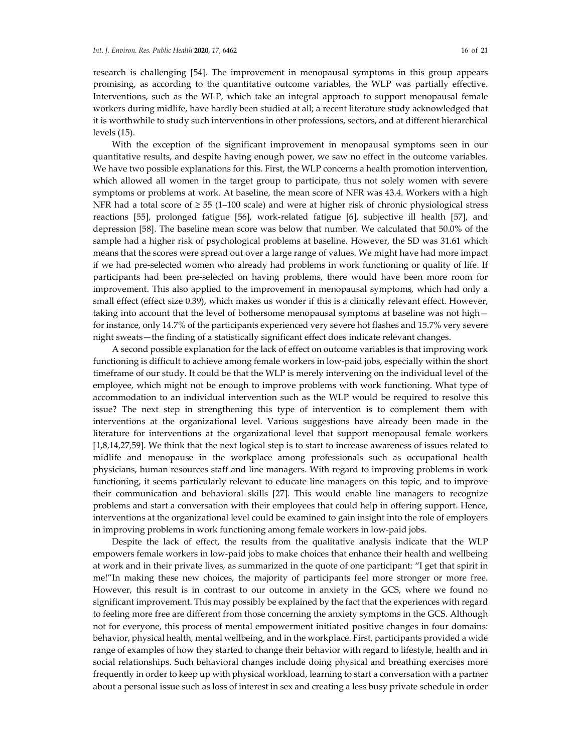research is challenging [54]. The improvement in menopausal symptoms in this group appears promising, as according to the quantitative outcome variables, the WLP was partially effective. Interventions, such as the WLP, which take an integral approach to support menopausal female workers during midlife, have hardly been studied at all; a recent literature study acknowledged that it is worthwhile to study such interventions in other professions, sectors, and at different hierarchical levels (15).

With the exception of the significant improvement in menopausal symptoms seen in our quantitative results, and despite having enough power, we saw no effect in the outcome variables. We have two possible explanations for this. First, the WLP concerns a health promotion intervention, which allowed all women in the target group to participate, thus not solely women with severe symptoms or problems at work. At baseline, the mean score of NFR was 43.4. Workers with a high NFR had a total score of  $≥ 55$  (1–100 scale) and were at higher risk of chronic physiological stress reactions [55], prolonged fatigue [56], work-related fatigue [6], subjective ill health [57], and depression [58]. The baseline mean score was below that number. We calculated that 50.0% of the sample had a higher risk of psychological problems at baseline. However, the SD was 31.61 which means that the scores were spread out over a large range of values. We might have had more impact if we had pre-selected women who already had problems in work functioning or quality of life. If participants had been pre-selected on having problems, there would have been more room for improvement. This also applied to the improvement in menopausal symptoms, which had only a small effect (effect size 0.39), which makes us wonder if this is a clinically relevant effect. However, taking into account that the level of bothersome menopausal symptoms at baseline was not high for instance, only 14.7% of the participants experienced very severe hot flashes and 15.7% very severe night sweats—the finding of a statistically significant effect does indicate relevant changes.

A second possible explanation for the lack of effect on outcome variables is that improving work functioning is difficult to achieve among female workers in low-paid jobs, especially within the short timeframe of our study. It could be that the WLP is merely intervening on the individual level of the employee, which might not be enough to improve problems with work functioning. What type of accommodation to an individual intervention such as the WLP would be required to resolve this issue? The next step in strengthening this type of intervention is to complement them with interventions at the organizational level. Various suggestions have already been made in the literature for interventions at the organizational level that support menopausal female workers [1,8,14,27,59]. We think that the next logical step is to start to increase awareness of issues related to midlife and menopause in the workplace among professionals such as occupational health physicians, human resources staff and line managers. With regard to improving problems in work functioning, it seems particularly relevant to educate line managers on this topic, and to improve their communication and behavioral skills [27]. This would enable line managers to recognize problems and start a conversation with their employees that could help in offering support. Hence, interventions at the organizational level could be examined to gain insight into the role of employers in improving problems in work functioning among female workers in low-paid jobs.

Despite the lack of effect, the results from the qualitative analysis indicate that the WLP empowers female workers in low-paid jobs to make choices that enhance their health and wellbeing at work and in their private lives, as summarized in the quote of one participant: "I get that spirit in me!"In making these new choices, the majority of participants feel more stronger or more free. However, this result is in contrast to our outcome in anxiety in the GCS, where we found no significant improvement. This may possibly be explained by the fact that the experiences with regard to feeling more free are different from those concerning the anxiety symptoms in the GCS. Although not for everyone, this process of mental empowerment initiated positive changes in four domains: behavior, physical health, mental wellbeing, and in the workplace. First, participants provided a wide range of examples of how they started to change their behavior with regard to lifestyle, health and in social relationships. Such behavioral changes include doing physical and breathing exercises more frequently in order to keep up with physical workload, learning to start a conversation with a partner about a personal issue such as loss of interest in sex and creating a less busy private schedule in order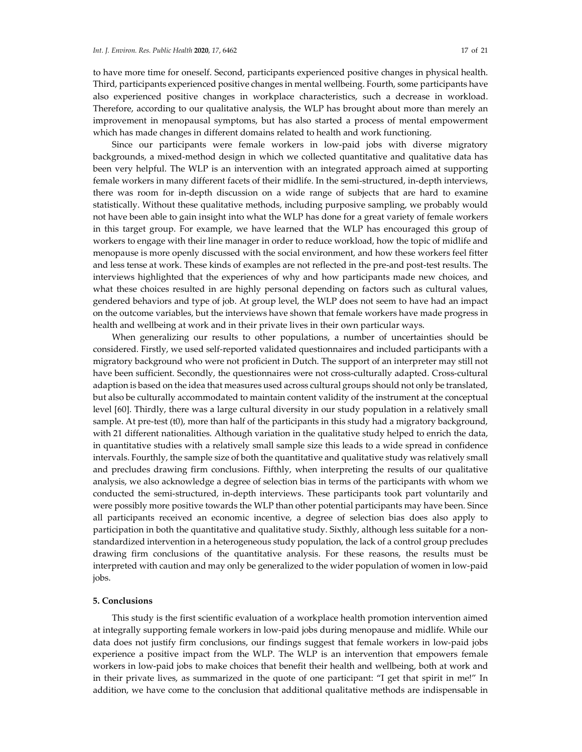to have more time for oneself. Second, participants experienced positive changes in physical health. Third, participants experienced positive changes in mental wellbeing. Fourth, some participants have also experienced positive changes in workplace characteristics, such a decrease in workload. Therefore, according to our qualitative analysis, the WLP has brought about more than merely an improvement in menopausal symptoms, but has also started a process of mental empowerment which has made changes in different domains related to health and work functioning.

Since our participants were female workers in low-paid jobs with diverse migratory backgrounds, a mixed-method design in which we collected quantitative and qualitative data has been very helpful. The WLP is an intervention with an integrated approach aimed at supporting female workers in many different facets of their midlife. In the semi-structured, in-depth interviews, there was room for in-depth discussion on a wide range of subjects that are hard to examine statistically. Without these qualitative methods, including purposive sampling, we probably would not have been able to gain insight into what the WLP has done for a great variety of female workers in this target group. For example, we have learned that the WLP has encouraged this group of workers to engage with their line manager in order to reduce workload, how the topic of midlife and menopause is more openly discussed with the social environment, and how these workers feel fitter and less tense at work. These kinds of examples are not reflected in the pre-and post-test results. The interviews highlighted that the experiences of why and how participants made new choices, and what these choices resulted in are highly personal depending on factors such as cultural values, gendered behaviors and type of job. At group level, the WLP does not seem to have had an impact on the outcome variables, but the interviews have shown that female workers have made progress in health and wellbeing at work and in their private lives in their own particular ways.

When generalizing our results to other populations, a number of uncertainties should be considered. Firstly, we used self-reported validated questionnaires and included participants with a migratory background who were not proficient in Dutch. The support of an interpreter may still not have been sufficient. Secondly, the questionnaires were not cross-culturally adapted. Cross-cultural adaption is based on the idea that measures used across cultural groups should not only be translated, but also be culturally accommodated to maintain content validity of the instrument at the conceptual level [60]. Thirdly, there was a large cultural diversity in our study population in a relatively small sample. At pre-test (t0), more than half of the participants in this study had a migratory background, with 21 different nationalities. Although variation in the qualitative study helped to enrich the data, in quantitative studies with a relatively small sample size this leads to a wide spread in confidence intervals. Fourthly, the sample size of both the quantitative and qualitative study was relatively small and precludes drawing firm conclusions. Fifthly, when interpreting the results of our qualitative analysis, we also acknowledge a degree of selection bias in terms of the participants with whom we conducted the semi-structured, in-depth interviews. These participants took part voluntarily and were possibly more positive towards the WLP than other potential participants may have been. Since all participants received an economic incentive, a degree of selection bias does also apply to participation in both the quantitative and qualitative study. Sixthly, although less suitable for a nonstandardized intervention in a heterogeneous study population, the lack of a control group precludes drawing firm conclusions of the quantitative analysis. For these reasons, the results must be interpreted with caution and may only be generalized to the wider population of women in low-paid jobs.

#### **5. Conclusions**

This study is the first scientific evaluation of a workplace health promotion intervention aimed at integrally supporting female workers in low-paid jobs during menopause and midlife. While our data does not justify firm conclusions, our findings suggest that female workers in low-paid jobs experience a positive impact from the WLP. The WLP is an intervention that empowers female workers in low-paid jobs to make choices that benefit their health and wellbeing, both at work and in their private lives, as summarized in the quote of one participant: "I get that spirit in me!" In addition, we have come to the conclusion that additional qualitative methods are indispensable in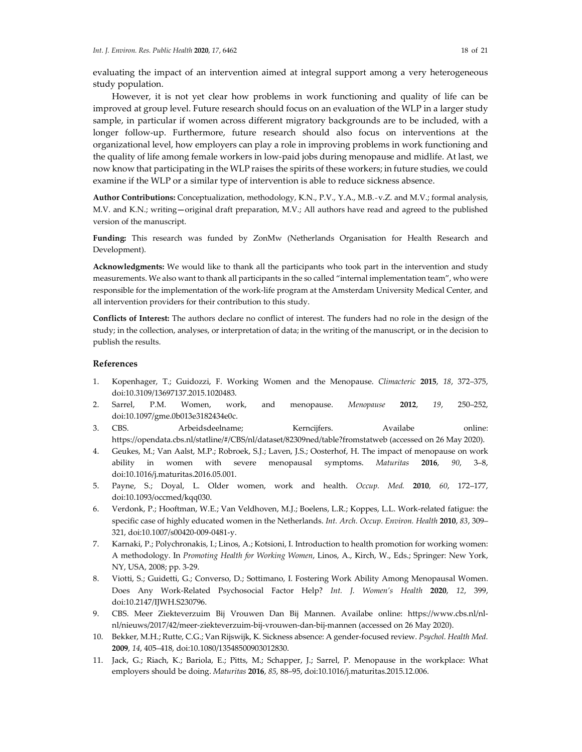evaluating the impact of an intervention aimed at integral support among a very heterogeneous study population.

However, it is not yet clear how problems in work functioning and quality of life can be improved at group level. Future research should focus on an evaluation of the WLP in a larger study sample, in particular if women across different migratory backgrounds are to be included, with a longer follow-up. Furthermore, future research should also focus on interventions at the organizational level, how employers can play a role in improving problems in work functioning and the quality of life among female workers in low-paid jobs during menopause and midlife. At last, we now know that participating in the WLP raises the spirits of these workers; in future studies, we could examine if the WLP or a similar type of intervention is able to reduce sickness absence.

**Author Contributions:** Conceptualization, methodology, K.N., P.V., Y.A., M.B.-v.Z. and M.V.; formal analysis, M.V. and K.N.; writing**—**original draft preparation, M.V.; All authors have read and agreed to the published version of the manuscript.

**Funding:** This research was funded by ZonMw (Netherlands Organisation for Health Research and Development).

**Acknowledgments:** We would like to thank all the participants who took part in the intervention and study measurements. We also want to thank all participants in the so called "internal implementation team", who were responsible for the implementation of the work-life program at the Amsterdam University Medical Center, and all intervention providers for their contribution to this study.

**Conflicts of Interest:** The authors declare no conflict of interest. The funders had no role in the design of the study; in the collection, analyses, or interpretation of data; in the writing of the manuscript, or in the decision to publish the results.

#### **References**

- 1. Kopenhager, T.; Guidozzi, F. Working Women and the Menopause. *Climacteric* **2015**, *18*, 372–375, doi:10.3109/13697137.2015.1020483.
- 2. Sarrel, P.M. Women, work, and menopause. *Menopause* **2012**, *19*, 250–252, doi:10.1097/gme.0b013e3182434e0c.
- 3. CBS. Arbeidsdeelname; Kerncijfers. Availabe online: https://opendata.cbs.nl/statline/#/CBS/nl/dataset/82309ned/table?fromstatweb (accessed on 26 May 2020).
- 4. Geukes, M.; Van Aalst, M.P.; Robroek, S.J.; Laven, J.S.; Oosterhof, H. The impact of menopause on work ability in women with severe menopausal symptoms. *Maturitas* **2016**, *90*, 3–8, doi:10.1016/j.maturitas.2016.05.001.
- 5. Payne, S.; Doyal, L. Older women, work and health. *Occup. Med.* **2010**, *60*, 172–177, doi:10.1093/occmed/kqq030.
- 6. Verdonk, P.; Hooftman, W.E.; Van Veldhoven, M.J.; Boelens, L.R.; Koppes, L.L. Work-related fatigue: the specific case of highly educated women in the Netherlands. *Int. Arch. Occup. Environ. Health* **2010**, *83*, 309– 321, doi:10.1007/s00420-009-0481-y.
- 7. Karnaki, P.; Polychronakis, I.; Linos, A.; Kotsioni, I. Introduction to health promotion for working women: A methodology. In *Promoting Health for Working Women*, Linos, A., Kirch, W., Eds.; Springer: New York, NY, USA, 2008; pp. 3-29.
- 8. Viotti, S.; Guidetti, G.; Converso, D.; Sottimano, I. Fostering Work Ability Among Menopausal Women. Does Any Work-Related Psychosocial Factor Help? *Int. J. Women's Health* **2020**, *12*, 399, doi:10.2147/IJWH.S230796.
- 9. CBS. Meer Ziekteverzuim Bij Vrouwen Dan Bij Mannen. Availabe online: https://www.cbs.nl/nlnl/nieuws/2017/42/meer-ziekteverzuim-bij-vrouwen-dan-bij-mannen (accessed on 26 May 2020).
- 10. Bekker, M.H.; Rutte, C.G.; Van Rijswijk, K. Sickness absence: A gender-focused review. *Psychol. Health Med.*  **2009**, *14*, 405–418, doi:10.1080/13548500903012830.
- 11. Jack, G.; Riach, K.; Bariola, E.; Pitts, M.; Schapper, J.; Sarrel, P. Menopause in the workplace: What employers should be doing. *Maturitas* **2016**, *85*, 88–95, doi:10.1016/j.maturitas.2015.12.006.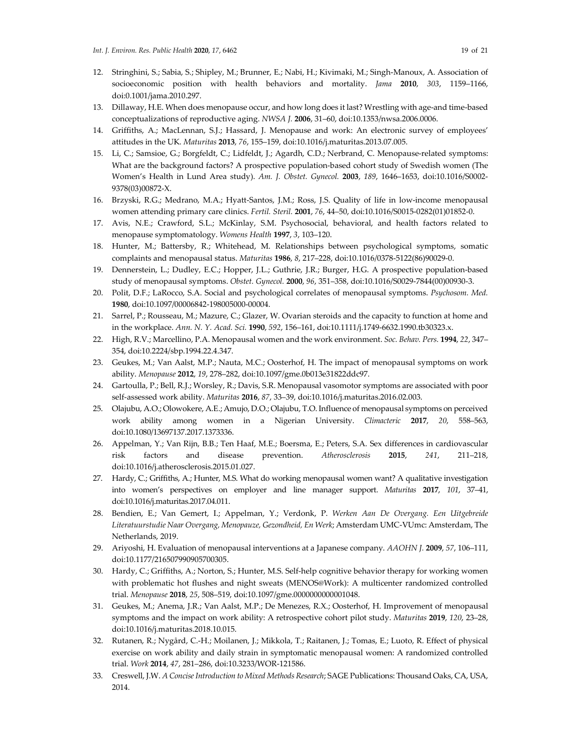- 12. Stringhini, S.; Sabia, S.; Shipley, M.; Brunner, E.; Nabi, H.; Kivimaki, M.; Singh-Manoux, A. Association of socioeconomic position with health behaviors and mortality. *Jama* **2010**, *303*, 1159–1166, doi:0.1001/jama.2010.297.
- 13. Dillaway, H.E. When does menopause occur, and how long does it last? Wrestling with age-and time-based conceptualizations of reproductive aging. *NWSA J.* **2006**, 31–60, doi:10.1353/nwsa.2006.0006.
- 14. Griffiths, A.; MacLennan, S.J.; Hassard, J. Menopause and work: An electronic survey of employees' attitudes in the UK. *Maturitas* **2013**, *76*, 155–159, doi:10.1016/j.maturitas.2013.07.005.
- 15. Li, C.; Samsioe, G.; Borgfeldt, C.; Lidfeldt, J.; Agardh, C.D.; Nerbrand, C. Menopause-related symptoms: What are the background factors? A prospective population-based cohort study of Swedish women (The Women's Health in Lund Area study). *Am. J. Obstet. Gynecol.* **2003**, *189*, 1646–1653, doi:10.1016/S0002- 9378(03)00872-X.
- 16. Brzyski, R.G.; Medrano, M.A.; Hyatt-Santos, J.M.; Ross, J.S. Quality of life in low-income menopausal women attending primary care clinics. *Fertil. Steril.* **2001**, *76*, 44–50, doi:10.1016/S0015-0282(01)01852-0.
- 17. Avis, N.E.; Crawford, S.L.; McKinlay, S.M. Psychosocial, behavioral, and health factors related to menopause symptomatology. *Womens Health* **1997**, *3*, 103–120.
- 18. Hunter, M.; Battersby, R.; Whitehead, M. Relationships between psychological symptoms, somatic complaints and menopausal status. *Maturitas* **1986**, *8*, 217–228, doi:10.1016/0378-5122(86)90029-0.
- 19. Dennerstein, L.; Dudley, E.C.; Hopper, J.L.; Guthrie, J.R.; Burger, H.G. A prospective population-based study of menopausal symptoms. *Obstet. Gynecol.* **2000**, *96*, 351–358, doi:10.1016/S0029-7844(00)00930-3.
- 20. Polit, D.F.; LaRocco, S.A. Social and psychological correlates of menopausal symptoms. *Psychosom. Med.*  **1980**, doi:10.1097/00006842-198005000-00004.
- 21. Sarrel, P.; Rousseau, M.; Mazure, C.; Glazer, W. Ovarian steroids and the capacity to function at home and in the workplace. *Ann. N. Y. Acad. Sci.* **1990**, *592*, 156–161, doi:10.1111/j.1749-6632.1990.tb30323.x.
- 22. High, R.V.; Marcellino, P.A. Menopausal women and the work environment. *Soc. Behav. Pers.* **1994**, *22*, 347– 354, doi:10.2224/sbp.1994.22.4.347.
- 23. Geukes, M.; Van Aalst, M.P.; Nauta, M.C.; Oosterhof, H. The impact of menopausal symptoms on work ability. *Menopause* **2012**, *19*, 278–282, doi:10.1097/gme.0b013e31822ddc97.
- 24. Gartoulla, P.; Bell, R.J.; Worsley, R.; Davis, S.R. Menopausal vasomotor symptoms are associated with poor self-assessed work ability. *Maturitas* **2016**, *87*, 33–39, doi:10.1016/j.maturitas.2016.02.003.
- 25. Olajubu, A.O.; Olowokere, A.E.; Amujo, D.O.; Olajubu, T.O. Influence of menopausal symptoms on perceived work ability among women in a Nigerian University. *Climacteric* **2017**, *20*, 558–563, doi:10.1080/13697137.2017.1373336.
- 26. Appelman, Y.; Van Rijn, B.B.; Ten Haaf, M.E.; Boersma, E.; Peters, S.A. Sex differences in cardiovascular risk factors and disease prevention. *Atherosclerosis* **2015**, *241*, 211–218, doi:10.1016/j.atherosclerosis.2015.01.027.
- 27. Hardy, C.; Griffiths, A.; Hunter, M.S. What do working menopausal women want? A qualitative investigation into women's perspectives on employer and line manager support. *Maturitas* **2017**, *101*, 37–41, doi:10.1016/j.maturitas.2017.04.011.
- 28. Bendien, E.; Van Gemert, I.; Appelman, Y.; Verdonk, P. *Werken Aan De Overgang. Een Uitgebreide Literatuurstudie Naar Overgang, Menopauze, Gezondheid, En Werk*; Amsterdam UMC-VUmc: Amsterdam, The Netherlands, 2019.
- 29. Ariyoshi, H. Evaluation of menopausal interventions at a Japanese company. *AAOHN J.* **2009**, *57*, 106–111, doi:10.1177/216507990905700305.
- 30. Hardy, C.; Griffiths, A.; Norton, S.; Hunter, M.S. Self-help cognitive behavior therapy for working women with problematic hot flushes and night sweats (MENOS@Work): A multicenter randomized controlled trial. *Menopause* **2018**, *25*, 508–519, doi:10.1097/gme.0000000000001048.
- 31. Geukes, M.; Anema, J.R.; Van Aalst, M.P.; De Menezes, R.X.; Oosterhof, H. Improvement of menopausal symptoms and the impact on work ability: A retrospective cohort pilot study. *Maturitas* **2019**, *120*, 23–28, doi:10.1016/j.maturitas.2018.10.015.
- 32. Rutanen, R.; Nygård, C.-H.; Moilanen, J.; Mikkola, T.; Raitanen, J.; Tomas, E.; Luoto, R. Effect of physical exercise on work ability and daily strain in symptomatic menopausal women: A randomized controlled trial. *Work* **2014**, *47*, 281–286, doi:10.3233/WOR-121586.
- 33. Creswell, J.W. *A Concise Introduction to Mixed Methods Research*; SAGE Publications: Thousand Oaks, CA, USA, 2014.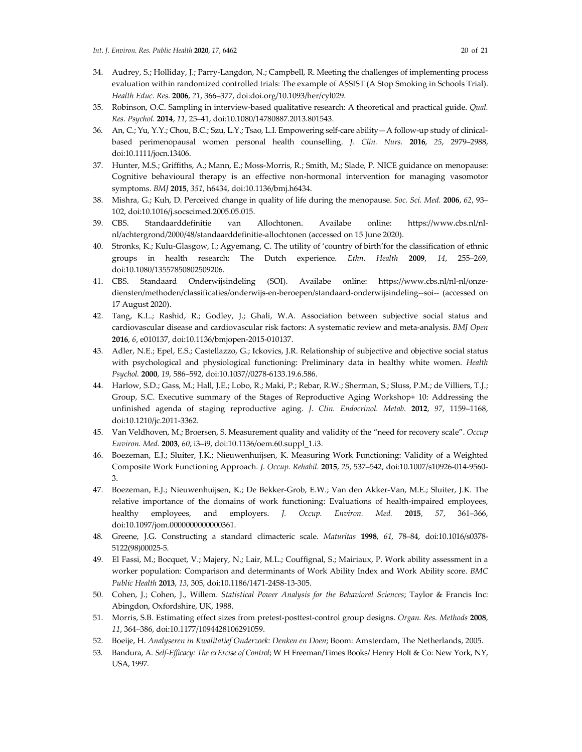- 34. Audrey, S.; Holliday, J.; Parry-Langdon, N.; Campbell, R. Meeting the challenges of implementing process evaluation within randomized controlled trials: The example of ASSIST (A Stop Smoking in Schools Trial). *Health Educ. Res.* **2006**, *21*, 366–377, doi:doi.org/10.1093/her/cyl029.
- 35. Robinson, O.C. Sampling in interview-based qualitative research: A theoretical and practical guide. *Qual. Res. Psychol.* **2014**, *11*, 25–41, doi:10.1080/14780887.2013.801543.
- 36. An, C.; Yu, Y.Y.; Chou, B.C.; Szu, L.Y.; Tsao, L.I. Empowering self-care ability—A follow-up study of clinicalbased perimenopausal women personal health counselling. *J. Clin. Nurs.* **2016**, *25*, 2979–2988, doi:10.1111/jocn.13406.
- 37. Hunter, M.S.; Griffiths, A.; Mann, E.; Moss-Morris, R.; Smith, M.; Slade, P. NICE guidance on menopause: Cognitive behavioural therapy is an effective non-hormonal intervention for managing vasomotor symptoms. *BMJ* **2015**, *351*, h6434, doi:10.1136/bmj.h6434.
- 38. Mishra, G.; Kuh, D. Perceived change in quality of life during the menopause. *Soc. Sci. Med.* **2006**, *62*, 93– 102, doi:10.1016/j.socscimed.2005.05.015.
- 39. CBS. Standaarddefinitie van Allochtonen. Availabe online: https://www.cbs.nl/nlnl/achtergrond/2000/48/standaarddefinitie-allochtonen (accessed on 15 June 2020).
- 40. Stronks, K.; Kulu-Glasgow, I.; Agyemang, C. The utility of 'country of birth'for the classification of ethnic groups in health research: The Dutch experience. *Ethn. Health* **2009**, *14*, 255–269, doi:10.1080/13557850802509206.
- 41. CBS. Standaard Onderwijsindeling (SOI). Availabe online: https://www.cbs.nl/nl-nl/onzediensten/methoden/classificaties/onderwijs-en-beroepen/standaard-onderwijsindeling--soi-- (accessed on 17 August 2020).
- 42. Tang, K.L.; Rashid, R.; Godley, J.; Ghali, W.A. Association between subjective social status and cardiovascular disease and cardiovascular risk factors: A systematic review and meta-analysis. *BMJ Open*  **2016**, *6*, e010137, doi:10.1136/bmjopen-2015-010137.
- 43. Adler, N.E.; Epel, E.S.; Castellazzo, G.; Ickovics, J.R. Relationship of subjective and objective social status with psychological and physiological functioning: Preliminary data in healthy white women. *Health Psychol.* **2000**, *19*, 586–592, doi:10.1037//0278-6133.19.6.586.
- 44. Harlow, S.D.; Gass, M.; Hall, J.E.; Lobo, R.; Maki, P.; Rebar, R.W.; Sherman, S.; Sluss, P.M.; de Villiers, T.J.; Group, S.C. Executive summary of the Stages of Reproductive Aging Workshop+ 10: Addressing the unfinished agenda of staging reproductive aging. *J. Clin. Endocrinol. Metab.* **2012**, *97*, 1159–1168, doi:10.1210/jc.2011-3362.
- 45. Van Veldhoven, M.; Broersen, S. Measurement quality and validity of the "need for recovery scale". *Occup Environ. Med.* **2003**, *60*, i3–i9, doi:10.1136/oem.60.suppl\_1.i3.
- 46. Boezeman, E.J.; Sluiter, J.K.; Nieuwenhuijsen, K. Measuring Work Functioning: Validity of a Weighted Composite Work Functioning Approach. *J. Occup. Rehabil.* **2015**, *25*, 537–542, doi:10.1007/s10926-014-9560- 3.
- 47. Boezeman, E.J.; Nieuwenhuijsen, K.; De Bekker-Grob, E.W.; Van den Akker-Van, M.E.; Sluiter, J.K. The relative importance of the domains of work functioning: Evaluations of health-impaired employees, healthy employees, and employers. *J. Occup. Environ. Med.* **2015**, *57*, 361–366, doi:10.1097/jom.0000000000000361.
- 48. Greene, J.G. Constructing a standard climacteric scale. *Maturitas* **1998**, *61*, 78–84, doi:10.1016/s0378- 5122(98)00025-5.
- 49. El Fassi, M.; Bocquet, V.; Majery, N.; Lair, M.L.; Couffignal, S.; Mairiaux, P. Work ability assessment in a worker population: Comparison and determinants of Work Ability Index and Work Ability score. *BMC Public Health* **2013**, *13*, 305, doi:10.1186/1471-2458-13-305.
- 50. Cohen, J.; Cohen, J., Willem. *Statistical Power Analysis for the Behavioral Sciences*; Taylor & Francis Inc: Abingdon, Oxfordshire, UK, 1988.
- 51. Morris, S.B. Estimating effect sizes from pretest-posttest-control group designs. *Organ. Res. Methods* **2008**, *11*, 364–386, doi:10.1177/1094428106291059.
- 52. Boeije, H. *Analyseren in Kwalitatief Onderzoek: Denken en Doen*; Boom: Amsterdam, The Netherlands, 2005.
- 53. Bandura, A. *Self-Efficacy: The exErcise of Control*; W H Freeman/Times Books/ Henry Holt & Co: New York, NY, USA, 1997.